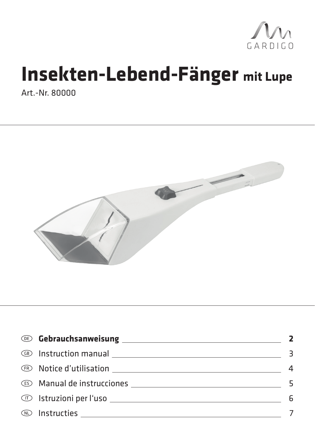

# **Insekten-Lebend-Fänger mit Lupe**

Art.-Nr. 80000



| <b>Example 20 Cebrauchsanweisung</b>                                                                                                                                                                                                 |   |
|--------------------------------------------------------------------------------------------------------------------------------------------------------------------------------------------------------------------------------------|---|
| <b>EXECUTE IN SECTION MODEL IN A REPORT OF A REPORT OF A REPORT OF A REPORT OF A REPORT OF A REPORT OF A REPORT OF A REPORT OF A REPORT OF A REPORT OF A REPORT OF A REPORT OF A REPORT OF A REPORT OF A REPORT OF A REPORT OF A</b> |   |
| <b>EXECUTE OF SECOND CONTRACT CONTRACT CONTRACT OF STATE OF STATE OF STATE OF STATE OF STATE OF STATE OF STATE OF STATE OF STATE OF STATE OF STATE OF STATE OF STATE OF STATE OF STATE OF STATE OF STATE OF STATE OF STATE OF ST</b> |   |
| <b>ES</b> Manual de instrucciones <b>Manual de instrucciones</b>                                                                                                                                                                     |   |
|                                                                                                                                                                                                                                      | 6 |
|                                                                                                                                                                                                                                      |   |
|                                                                                                                                                                                                                                      |   |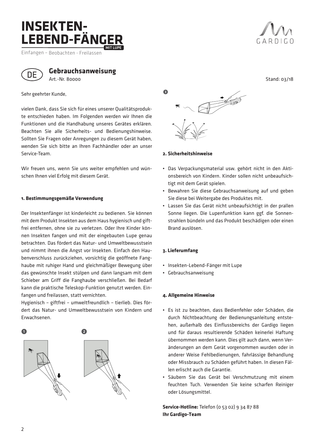### **INSEKTEN-LEBEND-FÄNGER** MIT LUPE

Einfangen – Beobachten - Freilassen



**Gebrauchsanweisung** Art.-Nr. 80000

Sehr geehrter Kunde,

vielen Dank, dass Sie sich für eines unserer Qualitätsprodukte entschieden haben. Im Folgenden werden wir Ihnen die Funktionen und die Handhabung unseres Gerätes erklären. Beachten Sie alle Sicherheits- und Bedienungshinweise. Sollten Sie Fragen oder Anregungen zu diesem Gerät haben, wenden Sie sich bitte an Ihren Fachhändler oder an unser Service-Team.

Wir freuen uns, wenn Sie uns weiter empfehlen und wünschen Ihnen viel Erfolg mit diesem Gerät.

#### **1. Bestimmungsgemäße Verwendung**

Der Insektenfänger ist kinderleicht zu bedienen. Sie können mit dem Produkt Insekten aus dem Haus hygienisch und giftfrei entfernen, ohne sie zu verletzen. Oder Ihre Kinder können Insekten fangen und mit der eingebauten Lupe genau betrachten. Das fördert das Natur- und Umweltbewusstsein und nimmt ihnen die Angst vor Insekten. Einfach den Haubenverschluss zurückziehen, vorsichtig die geöffnete Fanghaube mit ruhiger Hand und gleichmäßiger Bewegung über das gewünschte Insekt stülpen und dann langsam mit dem Schieber am Griff die Fanghaube verschließen. Bei Bedarf kann die praktische Teleskop-Funktion genutzt werden. Einfangen und freilassen, statt vernichten.

Hygienisch – giftfrei – umweltfreundlich – tierlieb. Dies fördert das Natur- und Umweltbewusstsein von Kindern und Erwachsenen.





**2. Sicherheitshinweise**

- Das Verpackungsmaterial usw. gehört nicht in den Aktionsbereich von Kindern. Kinder sollen nicht unbeaufsichtigt mit dem Gerät spielen.
- Bewahren Sie diese Gebrauchsanweisung auf und geben Sie diese bei Weitergabe des Produktes mit.
- Lassen Sie das Gerät nicht unbeaufsichtigt in der prallen Sonne liegen. Die Lupenfunktion kann ggf. die Sonnenstrahlen bündeln und das Produkt beschädigen oder einen Brand auslösen.

#### **3. Lieferumfang**

- Insekten-Lebend-Fänger mit Lupe
- Gebrauchsanweisung

#### **4. Allgemeine Hinweise**

- Es ist zu beachten, dass Bedienfehler oder Schäden, die durch Nichtbeachtung der Bedienungsanleitung entstehen, außerhalb des Einflussbereichs der Gardigo liegen und für daraus resultierende Schäden keinerlei Haftung übernommen werden kann. Dies gilt auch dann, wenn Veränderungen an dem Gerät vorgenommen wurden oder in anderer Weise Fehlbedienungen, fahrlässige Behandlung oder Missbrauch zu Schäden geführt haben. In diesen Fällen erlischt auch die Garantie.
- Säubern Sie das Gerät bei Verschmutzung mit einem feuchten Tuch. Verwenden Sie keine scharfen Reiniger oder Lösungsmittel.

**Service-Hotline:** Telefon (0 53 02) 9 34 87 88 **Ihr Gardigo-Team**



Stand: 03/18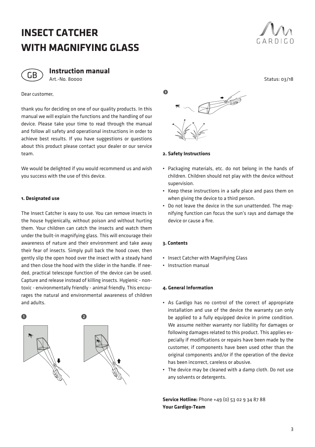# **INSECT CATCHER WITH MAGNIFYING GLASS**





**Instruction manual** Art.-No. 80000

Dear customer,

thank you for deciding on one of our quality products. In this manual we will explain the functions and the handling of our device. Please take your time to read through the manual and follow all safety and operational instructions in order to achieve best results. If you have suggestions or questions about this product please contact your dealer or our service team.

We would be delighted if you would recommend us and wish you success with the use of this device.

#### **1. Designated use**

The Insect Catcher is easy to use. You can remove insects in the house hygienically, without poison and without hurting them. Your children can catch the insects and watch them under the built-in magnifying glass. This will encourage their awareness of nature and their environment and take away their fear of insects. Simply pull back the hood cover, then gently slip the open hood over the insect with a steady hand and then close the hood with the slider in the handle. If needed, practical telescope function of the device can be used. Capture and release instead of killing insects. Hygienic - nontoxic - environmentally friendly - animal friendly. This encourages the natural and environmental awareness of children and adults.





**2. Safety Instructions**

- Packaging materials, etc. do not belong in the hands of children. Children should not play with the device without supervision.
- Keep these instructions in a safe place and pass them on when giving the device to a third person.
- Do not leave the device in the sun unattended. The magnifying function can focus the sun's rays and damage the device or cause a fire.

#### **3. Contents**

- Insect Catcher with Magnifying Glass
- Instruction manual

#### **4. General Information**

- As Gardigo has no control of the correct of appropriate installation and use of the device the warranty can only be applied to a fully equipped device in prime condition. We assume neither warranty nor liability for damages or following damages related to this product. This applies especially if modifications or repairs have been made by the customer, if components have been used other than the original components and/or if the operation of the device has been incorrect, careless or abusive.
- The device may be cleaned with a damp cloth. Do not use any solvents or detergents.

**Service Hotline:** Phone +49 (0) 53 02 9 34 87 88 **Your Gardigo-Team**

Status: 03/18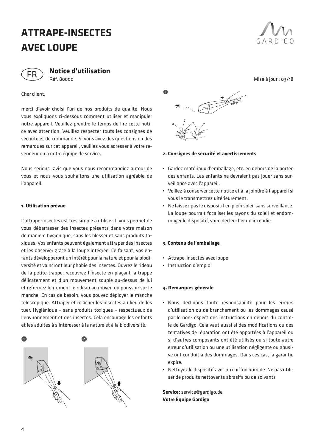# **ATTRAPE-INSECTES AVEC LOUPE**



**Notice d'utilisation** Réf. 80000

Cher client,

merci d'avoir choisi l'un de nos produits de qualité. Nous vous expliquons ci-dessous comment utiliser et manipuler notre appareil. Veuillez prendre le temps de lire cette notice avec attention. Veuillez respecter touts les consignes de sécurité et de commande. Si vous avez des questions ou des remarques sur cet appareil, veuillez vous adresser à votre revendeur ou à notre équipe de service.

Nous serions ravis que vous nous recommandiez autour de vous et nous vous souhaitons une utilisation agréable de l'appareil.

#### **1. Utilisation prévue**

L'attrape-insectes est très simple à utiliser. Il vous permet de vous débarrasser des insectes présents dans votre maison de manière hygiénique, sans les blesser et sans produits toxiques. Vos enfants peuvent également attraper des insectes et les observer grâce à la loupe intégrée. Ce faisant, vos enfants développeront un intérêt pour la nature et pour la biodiversité et vaincront leur phobie des insectes. Ouvrez le rideau de la petite trappe, recouvrez l'insecte en plaçant la trappe délicatement et d'un mouvement souple au-dessus de lui et refermez lentement le rideau au moyen du poussoir sur le manche. En cas de besoin, vous pouvez déployer le manche télescopique. Attraper et relâcher les insectes au lieu de les tuer. Hygiénique – sans produits toxiques – respectueux de l'environnement et des insectes. Cela encourage les enfants et les adultes à s'intéresser à la nature et à la biodiversité.





#### **2. Consignes de sécurité et avertissements**

- Gardez matériaux d'emballage, etc. en dehors de la portée des enfants. Les enfants ne devraient pas jouer sans surveillance avec l'appareil.
- Veillez à conserver cette notice et à la joindre à l'appareil si vous le transmettrez ultérieurement.
- Ne laissez pas le dispositif en plein soleil sans surveillance. La loupe pourrait focaliser les rayons du soleil et endommager le dispositif, voire déclencher un incendie.

#### **3. Contenu de l'emballage**

- Attrape-insectes avec loupe
- Instruction d'emploi

#### **4. Remarques générale**

- Nous déclinons toute responsabilité pour les erreurs d'utilisation ou de branchement ou les dommages causé par le non-respect des instructions en dehors du contrôle de Gardigo. Cela vaut aussi si des modifications ou des tentatives de réparation ont été apportées à l'appareil ou si d'autres composants ont été utilisés ou si toute autre erreur d'utilisation ou une utilisation négligente ou abusive ont conduit à des dommages. Dans ces cas, la garantie expire.
- Nettoyez le dispositif avec un chiffon humide. Ne pas utiliser de produits nettoyants abrasifs ou de solvants

**Service:** service@gardigo.de **Votre Équipe Gardigo**



Mise à jour : 03/18

4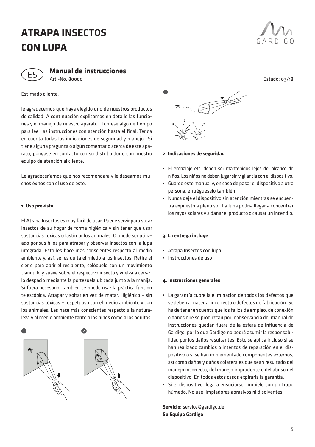### **ATRAPA INSECTOS CON LUPA**



**Manual de instrucciones** Art.-No. 80000

Estimado cliente,

le agradecemos que haya elegido uno de nuestros productos de calidad. A continuación explicamos en detalle las funciones y el manejo de nuestro aparato. Tómese algo de tiempo para leer las instrucciones con atención hasta el final. Tenga en cuenta todas las indicaciones de seguridad y manejo. Si tiene alguna pregunta o algún comentario acerca de este aparato, póngase en contacto con su distribuidor o con nuestro equipo de atención al cliente.

Le agradeceríamos que nos recomendara y le deseamos muchos éxitos con el uso de este.

#### **1. Uso previsto**

El Atrapa Insectos es muy fácil de usar. Puede servir para sacar insectos de su hogar de forma higiénica y sin tener que usar sustancias tóxicas o lastimar los animales. O puede ser utilizado por sus hijos para atrapar y observar insectos con la lupa integrada. Esto les hace más conscientes respecto al medio ambiente y, así, se les quita el miedo a los insectos. Retire el cierre para abrir el recipiente, colóquelo con un movimiento tranquilo y suave sobre el respectivo insecto y vuelva a cerrarlo despacio mediante la portezuela ubicada junto a la manija. Si fuera necesario, también se puede usar la práctica función telescópica. Atrapar y soltar en vez de matar. Higiénico – sin sustancias tóxicas – respetuoso con el medio ambiente y con los animales. Les hace más conscientes respecto a la naturaleza y al medio ambiente tanto a los niños como a los adultos.





**2. Indicaciones de seguridad**

- El embalaje etc. deben ser mantenidos lejos del alcance de niños. Los niños no deben jugar sin vigilancia con el dispositivo.
- Guarde este manual y, en caso de pasar el dispositivo a otra persona, entrégueselo también.
- Nunca deje el dispositivo sin atención mientras se encuentra expuesto a pleno sol. La lupa podría llegar a concentrar los rayos solares y a dañar el producto o causar un incendio.

#### **3. La entrega incluye**

- Atrapa Insectos con lupa
- Instrucciones de uso

#### **4. Instrucciones generales**

- La garantía cubre la eliminación de todos los defectos que se deben a material incorrecto o defectos de fabricación. Se ha de tener en cuenta que los fallos de empleo, de conexión o daños que se produzcan por inobservancia del manual de instrucciones quedan fuera de la esfera de influencia de Gardigo, por lo que Gardigo no podrá asumir la responsabilidad por los daños resultantes. Esto se aplica incluso si se han realizado cambios o intentos de reparación en el dispositivo o si se han implementado componentes externos, así como daños y daños colaterales que sean resultado del manejo incorrecto, del manejo imprudente o del abuso del dispositivo. En todos estos casos expiraría la garantía.
- Si el dispositivo llega a ensuciarse, límpielo con un trapo húmedo. No use limpiadores abrasivos ni disolventes.

**Servicio:** service@gardigo.de **Su Equipo Gardigo**



Estado: 03/18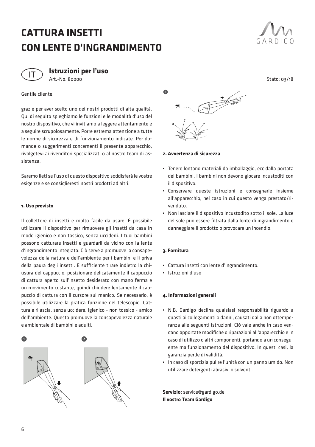# **CATTURA INSETTI CON LENTE D'INGRANDIMENTO**





**Istruzioni per l'uso** Art.-No. 80000

Gentile cliente,

grazie per aver scelto uno dei nostri prodotti di alta qualità. Qui di seguito spieghiamo le funzioni e le modalità d'uso del nostro dispositivo, che vi invitiamo a leggere attentamente e a seguire scrupolosamente. Porre estrema attenzione a tutte le norme di sicurezza e di funzionamento indicate. Per domande o suggerimenti concernenti il presente apparecchio, rivolgetevi ai rivenditori specializzati o al nostro team di assistenza.

Saremo lieti se l'uso di questo dispositivo soddisferà le vostre esigenze e se consiglieresti nostri prodotti ad altri.

#### **1. Uso previsto**

Il collettore di insetti è molto facile da usare. È possibile utilizzare il dispositivo per rimuovere gli insetti da casa in modo igienico e non tossico, senza ucciderli. I tuoi bambini possono catturare insetti e guardarli da vicino con la lente d'ingrandimento integrata. Ciò serve a promuove la consapevolezza della natura e dell'ambiente per i bambini e li priva della paura degli insetti. È sufficiente tirare indietro la chiusura del cappuccio, posizionare delicatamente il cappuccio di cattura aperto sull'insetto desiderato con mano ferma e un movimento costante, quindi chiudere lentamente il cappuccio di cattura con il cursore sul manico. Se necessario, è possibile utilizzare la pratica funzione del telescopio. Cattura e rilascia, senza uccidere. Igienico - non tossico - amico dell'ambiente. Questo promuove la consapevolezza naturale e ambientale di bambini e adulti.





**2. Avvertenza di sicurezza**

- Tenere lontano materiali da imballaggio, ecc dalla portata dei bambini. I bambini non devono giocare incustoditi con il dispositivo.
- Conservare queste istruzioni e consegnarle insieme all'apparecchio, nel caso in cui questo venga prestato/rivenduto.
- Non lasciare il dispositivo incustodito sotto il sole. La luce del sole può essere filtrata dalla lente di ingrandimento e danneggiare il prodotto o provocare un incendio.

#### **3. Fornitura**

- Cattura insetti con lente d'ingrandimento.
- Istruzioni d'uso

#### **4. Informazioni generali**

- N.B. Gardigo declina qualsiasi responsabilità riguardo a guasti ai collegamenti o danni, causati dalla non ottemperanza alle seguenti istruzioni. Ciò vale anche in caso vengano apportate modifiche o riparazioni all'apparecchio e in caso di utilizzo o altri componenti, portando a un conseguente malfunzionamento del dispositivo. In questi casi, la garanzia perde di validità.
- In caso di sporcizia pulire l'unità con un panno umido. Non utilizzare detergenti abrasivi o solventi.

**Servizio:** service@gardigo.de **Il vostro Team Gardigo**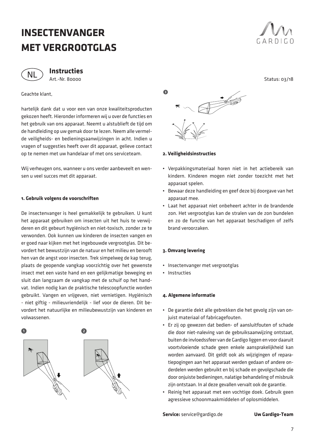# **INSECTENVANGER MET VERGROOTGLAS**



**Instructies** Art.-Nr. 80000

#### Geachte klant,

hartelijk dank dat u voor een van onze kwaliteitsproducten gekozen heeft. Hieronder informeren wij u over de functies en het gebruik van ons apparaat. Neemt u alstublieft de tijd om de handleiding op uw gemak door te lezen. Neem alle vermelde veiligheids- en bedieningsaanwijzingen in acht. Indien u vragen of suggesties heeft over dit apparaat, gelieve contact op te nemen met uw handelaar of met ons serviceteam.

Wij verheugen ons, wanneer u ons verder aanbeveelt en wensen u veel succes met dit apparaat.

#### **1. Gebruik volgens de voorschriften**

De insectenvanger is heel gemakkelijk te gebruiken. U kunt het apparaat gebruiken om insecten uit het huis te verwijderen en dit gebeurt hygiënisch en niet-toxisch, zonder ze te verwonden. Ook kunnen uw kinderen de insecten vangen en er goed naar kijken met het ingebouwde vergrootglas. Dit bevordert het bewustzijn van de natuur en het milieu en berooft hen van de angst voor insecten. Trek simpelweg de kap terug, plaats de geopende vangkap voorzichtig over het gewenste insect met een vaste hand en een gelijkmatige beweging en sluit dan langzaam de vangkap met de schuif op het handvat. Indien nodig kan de praktische telescoopfunctie worden gebruikt. Vangen en vrijgeven, niet vernietigen. Hygiënisch - niet giftig - milieuvriendelijk - lief voor de dieren. Dit bevordert het natuurlijke en milieubewustzijn van kinderen en volwassenen.





**2. Veiligheidsinstructies**

- Verpakkingsmateriaal horen niet in het actiebereik van kindern. Kinderen mogen niet zonder toezicht met het apparaat spelen.
- Bewaar deze handleiding en geef deze bij doorgave van het apparaat mee.
- Laat het apparaat niet onbeheert achter in de brandende zon. Het vergrootglas kan de stralen van de zon bundelen en zo de functie van het apparaat beschadigen of zelfs brand veroorzaken.

#### **3. Omvang levering**

- Insectenvanger met vergrootglas
- Instructies

#### **4. Algemene informatie**

- De garantie dekt alle gebrekken die het gevolg zijn van onjuist materiaal of fabricagefouten.
- Er zij on gewezen dat bedien- of aansluitfouten of schade die door niet-naleving van de gebruiksaanwijzing ontstaat, buiten de invloedssfeer van de Gardigo liggen en voor daaruit voortvloeiende schade geen enkele aansprakelijkheid kan worden aanvaard. Dit geldt ook als wijzigingen of reparatiepogingen aan het apparaat werden gedaan of andere onderdelen werden gebruikt en bij schade en gevolgschade die door onjuiste bedieningen, nalatige behandeling of misbruik zijn ontstaan. In al deze gevallen vervalt ook de garantie.
- Reinig het apparaat met een vochtige doek. Gebruik geen agressieve schoonmaakmiddelen of oplosmiddelen.

**Service:** service@gardigo.de **Uw Gardigo-Team**



Status: 03/18